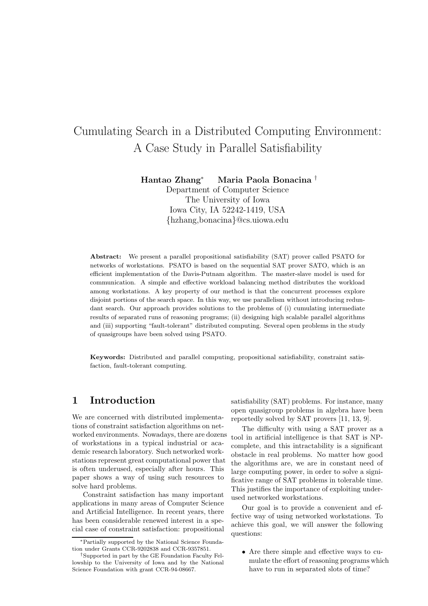# Cumulating Search in a Distributed Computing Environment: A Case Study in Parallel Satisfiability

Hantao Zhang<sup>∗</sup> Maria Paola Bonacina †

Department of Computer Science The University of Iowa Iowa City, IA 52242-1419, USA {hzhang,bonacina}@cs.uiowa.edu

Abstract: We present a parallel propositional satisfiability (SAT) prover called PSATO for networks of workstations. PSATO is based on the sequential SAT prover SATO, which is an efficient implementation of the Davis-Putnam algorithm. The master-slave model is used for communication. A simple and effective workload balancing method distributes the workload among workstations. A key property of our method is that the concurrent processes explore disjoint portions of the search space. In this way, we use parallelism without introducing redundant search. Our approach provides solutions to the problems of (i) cumulating intermediate results of separated runs of reasoning programs; (ii) designing high scalable parallel algorithms and (iii) supporting "fault-tolerant" distributed computing. Several open problems in the study of quasigroups have been solved using PSATO.

Keywords: Distributed and parallel computing, propositional satisfiability, constraint satisfaction, fault-tolerant computing.

# 1 Introduction

We are concerned with distributed implementations of constraint satisfaction algorithms on networked environments. Nowadays, there are dozens of workstations in a typical industrial or academic research laboratory. Such networked workstations represent great computational power that is often underused, especially after hours. This paper shows a way of using such resources to solve hard problems.

Constraint satisfaction has many important applications in many areas of Computer Science and Artificial Intelligence. In recent years, there has been considerable renewed interest in a special case of constraint satisfaction: propositional

satisfiability (SAT) problems. For instance, many open quasigroup problems in algebra have been reportedly solved by SAT provers [11, 13, 9].

The difficulty with using a SAT prover as a tool in artificial intelligence is that SAT is NPcomplete, and this intractability is a significant obstacle in real problems. No matter how good the algorithms are, we are in constant need of large computing power, in order to solve a significative range of SAT problems in tolerable time. This justifies the importance of exploiting underused networked workstations.

Our goal is to provide a convenient and effective way of using networked workstations. To achieve this goal, we will answer the following questions:

• Are there simple and effective ways to cumulate the effort of reasoning programs which have to run in separated slots of time?

<sup>∗</sup>Partially supported by the National Science Foundation under Grants CCR-9202838 and CCR-9357851.

<sup>†</sup>Supported in part by the GE Foundation Faculty Fellowship to the University of Iowa and by the National Science Foundation with grant CCR-94-08667.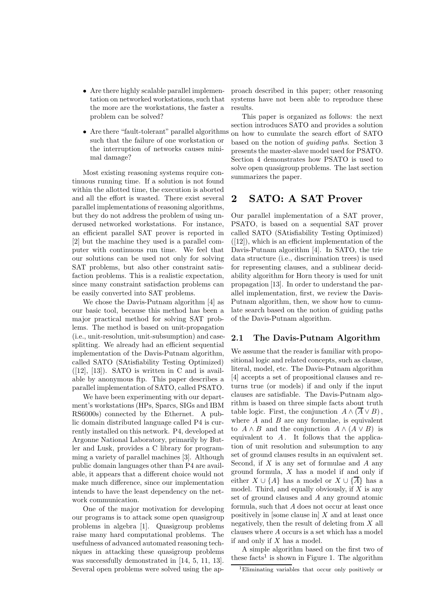- Are there highly scalable parallel implementation on networked workstations, such that the more are the workstations, the faster a problem can be solved?
- such that the failure of one workstation or the interruption of networks causes minimal damage?

Most existing reasoning systems require continuous running time. If a solution is not found within the allotted time, the execution is aborted and all the effort is wasted. There exist several parallel implementations of reasoning algorithms, but they do not address the problem of using underused networked workstations. For instance, an efficient parallel SAT prover is reported in [2] but the machine they used is a parallel computer with continuous run time. We feel that our solutions can be used not only for solving SAT problems, but also other constraint satisfaction problems. This is a realistic expectation, since many constraint satisfaction problems can be easily converted into SAT problems.

We chose the Davis-Putnam algorithm [4] as our basic tool, because this method has been a major practical method for solving SAT problems. The method is based on unit-propagation (i.e., unit-resolution, unit-subsumption) and casesplitting. We already had an efficient sequential implementation of the Davis-Putnam algorithm, called SATO (SAtisfiability Testing Optimized)  $([12], [13])$ . SATO is written in C and is available by anonymous ftp. This paper describes a parallel implementation of SATO, called PSATO.

We have been experimenting with our department's workstations (HPs, Sparcs, SIGs and IBM RS6000s) connected by the Ethernet. A public domain distributed language called P4 is currently installed on this network. P4, developed at Argonne National Laboratory, primarily by Butler and Lusk, provides a C library for programming a variety of parallel machines [3]. Although public domain languages other than P4 are available, it appears that a different choice would not make much difference, since our implementation intends to have the least dependency on the network communication.

One of the major motivation for developing our programs is to attack some open quasigroup problems in algebra [1]. Quasigroup problems raise many hard computational problems. The usefulness of advanced automated reasoning techniques in attacking these quasigroup problems was successfully demonstrated in [14, 5, 11, 13]. Several open problems were solved using the approach described in this paper; other reasoning systems have not been able to reproduce these results.

• Are there "fault-tolerant" parallel algorithms on how to cumulate the search effort of SATO This paper is organized as follows: the next section introduces SATO and provides a solution based on the notion of *guiding paths*. Section 3 presents the master-slave model used for PSATO. Section 4 demonstrates how PSATO is used to solve open quasigroup problems. The last section summarizes the paper.

## 2 SATO: A SAT Prover

Our parallel implementation of a SAT prover, PSATO, is based on a sequential SAT prover called SATO (SAtisfiability Testing Optimized)  $([12])$ , which is an efficient implementation of the Davis-Putnam algorithm [4]. In SATO, the trie data structure (i.e., discrimination trees) is used for representing clauses, and a sublinear decidability algorithm for Horn theory is used for unit propagation [13]. In order to understand the parallel implementation, first, we review the Davis-Putnam algorithm, then, we show how to cumulate search based on the notion of guiding paths of the Davis-Putnam algorithm.

#### 2.1 The Davis-Putnam Algorithm

We assume that the reader is familiar with propositional logic and related concepts, such as clause, literal, model, etc. The Davis-Putnam algorithm [4] accepts a set of propositional clauses and returns true (or models) if and only if the input clauses are satisfiable. The Davis-Putnam algorithm is based on three simple facts about truth table logic. First, the conjunction  $A \wedge (\overline{A} \vee B)$ , where  $A$  and  $B$  are any formulae, is equivalent to  $A \wedge B$  and the conjunction  $A \wedge (A \vee B)$  is equivalent to  $A$ . It follows that the application of unit resolution and subsumption to any set of ground clauses results in an equivalent set. Second, if  $X$  is any set of formulae and  $A$  any ground formula,  $X$  has a model if and only if either  $X \cup \{A\}$  has a model or  $X \cup \{\overline{A}\}\$  has a model. Third, and equally obviously, if  $X$  is any set of ground clauses and A any ground atomic formula, such that A does not occur at least once positively in [some clause in]  $X$  and at least once negatively, then the result of deleting from  $X$  all clauses where A occurs is a set which has a model if and only if  $X$  has a model.

A simple algorithm based on the first two of these  $\text{facts}^1$  is shown in Figure 1. The algorithm

<sup>1</sup>Eliminating variables that occur only positively or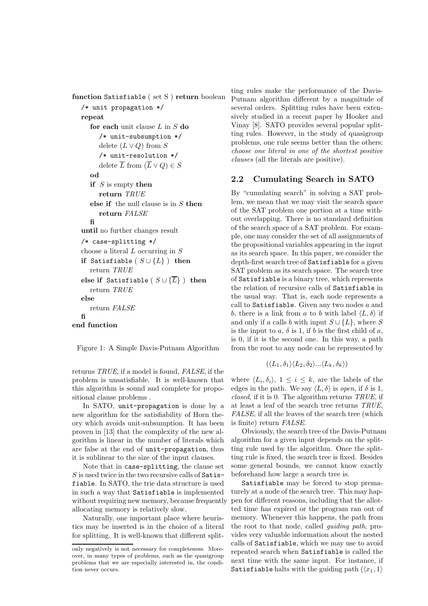```
function Satisfiable ( set S ) return boolean
   /* unit propagation */
  repeat
     for each unit clause L in S do
        /* unit-subsumption */
        delete (L \vee Q) from S
        /* unit-resolution */
        delete \overline{L} from (\overline{L} \vee Q) \in Sod
     if S is empty then
        return TRUE
     else if the null clause is in S then
        return FALSE
     fi
   until no further changes result
  /* case-splitting */
  choose a literal L occurring in Sif Satisfiable (S \cup \{L\}) then
     return TRUE
  else if Satisfiable (S \cup \{\overline{L}\}\) then
     return TRUE
  else
     return FALSE
  fi
end function
```
Figure 1: A Simple Davis-Putnam Algorithm

returns *TRUE*, if a model is found, *FALSE*, if the problem is unsatisfiable. It is well-known that this algorithm is sound and complete for propositional clause problems .

In SATO, unit-propagation is done by a new algorithm for the satisfiability of Horn theory which avoids unit-subsumption. It has been proven in [13] that the complexity of the new algorithm is linear in the number of literals which are false at the end of unit-propagation, thus it is sublinear to the size of the input clauses.

Note that in case-splitting, the clause set  $S$  is used twice in the two recursive calls of Satisfiable. In SATO, the trie data structure is used in such a way that Satisfiable is implemented without requiring new memory, because frequently allocating memory is relatively slow.

Naturally, one important place where heuristics may be inserted is in the choice of a literal for splitting. It is well-known that different split-

ting rules make the performance of the Davis-Putnam algorithm different by a magnitude of several orders. Splitting rules have been extensively studied in a recent paper by Hooker and Vinay [8]. SATO provides several popular splitting rules. However, in the study of quasigroup problems, one rule seems better than the others: *choose one literal in one of the shortest positive clauses* (all the literals are positive).

#### 2.2 Cumulating Search in SATO

By "cumulating search" in solving a SAT problem, we mean that we may visit the search space of the SAT problem one portion at a time without overlapping. There is no standard definition of the search space of a SAT problem. For example, one may consider the set of all assignments of the propositional variables appearing in the input as its search space. In this paper, we consider the depth-first search tree of Satisfiable for a given SAT problem as its search space. The search tree of Satisfiable is a binary tree, which represents the relation of recursive calls of Satisfiable in the usual way. That is, each node represents a call to Satisfiable. Given any two nodes  $a$  and b, there is a link from a to b with label  $\langle L, \delta \rangle$  if and only if a calls b with input  $S \cup \{L\}$ , where S is the input to a,  $\delta$  is 1, if b is the first child of a, is 0, if it is the second one. In this way, a path from the root to any node can be represented by

$$
(\langle L_1, \delta_1 \rangle \langle L_2, \delta_2 \rangle \dots \langle L_k, \delta_k \rangle)
$$

where  $\langle L_i, \delta_i \rangle$ ,  $1 \leq i \leq k$ , are the labels of the edges in the path. We say  $\langle L, \delta \rangle$  is *open*, if  $\delta$  is 1, *closed*, if it is 0. The algorithm returns *TRUE*, if at least a leaf of the search tree returns *TRUE*, *FALSE*, if all the leaves of the search tree (which is finite) return *FALSE*.

Obviously, the search tree of the Davis-Putnam algorithm for a given input depends on the splitting rule used by the algorithm. Once the splitting rule is fixed, the search tree is fixed. Besides some general bounds, we cannot know exactly beforehand how large a search tree is.

Satisfiable may be forced to stop prematurely at a node of the search tree. This may happen for different reasons, including that the allotted time has expired or the program ran out of memory. Whenever this happens, the path from the root to that node, called *guiding path*, provides very valuable information about the nested calls of Satisfiable, which we may use to avoid repeated search when Satisfiable is called the next time with the same input. For instance, if Satisfiable halts with the guiding path  $(\langle x_1, 1 \rangle)$ 

only negatively is not necessary for completeness. Moreover, in many types of problems, such as the quasigroup problems that we are especially interested in, the condition never occurs.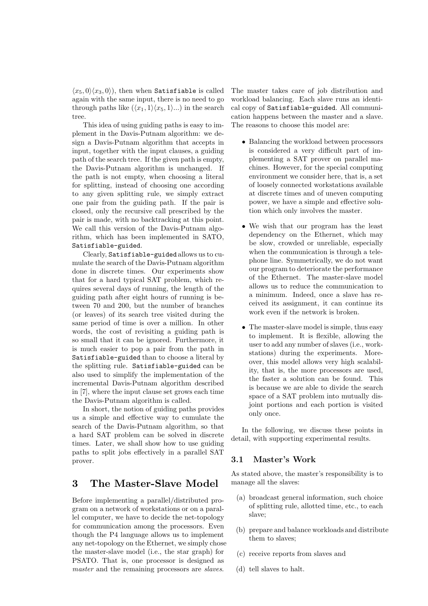$\langle x_5, 0 \rangle \langle x_3, 0 \rangle$ , then when Satisfiable is called again with the same input, there is no need to go through paths like  $(\langle x_1, 1 \rangle \langle x_5, 1 \rangle ...)$  in the search tree.

This idea of using guiding paths is easy to implement in the Davis-Putnam algorithm: we design a Davis-Putnam algorithm that accepts in input, together with the input clauses, a guiding path of the search tree. If the given path is empty, the Davis-Putnam algorithm is unchanged. If the path is not empty, when choosing a literal for splitting, instead of choosing one according to any given splitting rule, we simply extract one pair from the guiding path. If the pair is closed, only the recursive call prescribed by the pair is made, with no backtracking at this point. We call this version of the Davis-Putnam algorithm, which has been implemented in SATO, Satisfiable-guided.

Clearly, Satisfiable-guided allows us to cumulate the search of the Davis-Putnam algorithm done in discrete times. Our experiments show that for a hard typical SAT problem, which requires several days of running, the length of the guiding path after eight hours of running is between 70 and 200, but the number of branches (or leaves) of its search tree visited during the same period of time is over a million. In other words, the cost of revisiting a guiding path is so small that it can be ignored. Furthermore, it is much easier to pop a pair from the path in Satisfiable-guided than to choose a literal by the splitting rule. Satisfiable-guided can be also used to simplify the implementation of the incremental Davis-Putnam algorithm described in [7], where the input clause set grows each time the Davis-Putnam algorithm is called.

In short, the notion of guiding paths provides us a simple and effective way to cumulate the search of the Davis-Putnam algorithm, so that a hard SAT problem can be solved in discrete times. Later, we shall show how to use guiding paths to split jobs effectively in a parallel SAT prover.

## 3 The Master-Slave Model

Before implementing a parallel/distributed program on a network of workstations or on a parallel computer, we have to decide the net-topology for communication among the processors. Even though the P4 language allows us to implement any net-topology on the Ethernet, we simply chose the master-slave model (i.e., the star graph) for PSATO. That is, one processor is designed as *master* and the remaining processors are *slaves*.

The master takes care of job distribution and workload balancing. Each slave runs an identical copy of Satisfiable-guided. All communication happens between the master and a slave. The reasons to choose this model are:

- Balancing the workload between processors is considered a very difficult part of implementing a SAT prover on parallel machines. However, for the special computing environment we consider here, that is, a set of loosely connected workstations available at discrete times and of uneven computing power, we have a simple and effective solution which only involves the master.
- We wish that our program has the least dependency on the Ethernet, which may be slow, crowded or unreliable, especially when the communication is through a telephone line. Symmetrically, we do not want our program to deteriorate the performance of the Ethernet. The master-slave model allows us to reduce the communication to a minimum. Indeed, once a slave has received its assignment, it can continue its work even if the network is broken.
- The master-slave model is simple, thus easy to implement. It is flexible, allowing the user to add any number of slaves (i.e., workstations) during the experiments. Moreover, this model allows very high scalability, that is, the more processors are used, the faster a solution can be found. This is because we are able to divide the search space of a SAT problem into mutually disjoint portions and each portion is visited only once.

In the following, we discuss these points in detail, with supporting experimental results.

## 3.1 Master's Work

As stated above, the master's responsibility is to manage all the slaves:

- (a) broadcast general information, such choice of splitting rule, allotted time, etc., to each slave;
- (b) prepare and balance workloads and distribute them to slaves;
- (c) receive reports from slaves and
- (d) tell slaves to halt.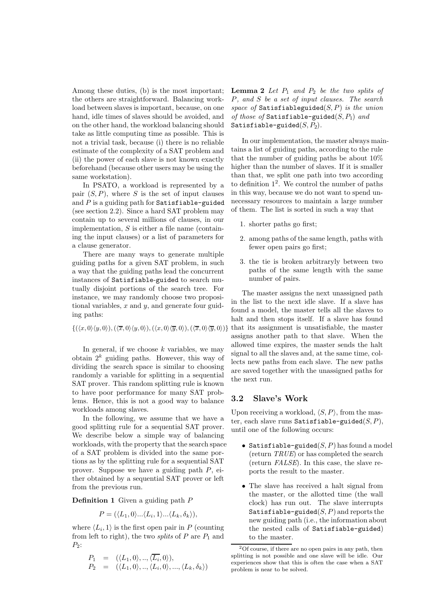Among these duties, (b) is the most important; the others are straightforward. Balancing workload between slaves is important, because, on one hand, idle times of slaves should be avoided, and on the other hand, the workload balancing should take as little computing time as possible. This is not a trivial task, because (i) there is no reliable estimate of the complexity of a SAT problem and (ii) the power of each slave is not known exactly beforehand (because other users may be using the same workstation).

In PSATO, a workload is represented by a pair  $(S, P)$ , where S is the set of input clauses and  $P$  is a guiding path for Satisfiable-guided (see section 2.2). Since a hard SAT problem may contain up to several millions of clauses, in our implementation,  $S$  is either a file name (containing the input clauses) or a list of parameters for a clause generator.

There are many ways to generate multiple guiding paths for a given SAT problem, in such a way that the guiding paths lead the concurrent instances of Satisfiable-guided to search mutually disjoint portions of the search tree. For instance, we may randomly choose two propositional variables,  $x$  and  $y$ , and generate four guiding paths:

$$
\{(\langle x,0\rangle\langle y,0\rangle),(\langle \overline{x},0\rangle\langle y,0\rangle),(\langle x,0\rangle\langle \overline{y},0\rangle),(\langle \overline{x},0\rangle\langle \overline{y},0\rangle)\}
$$

In general, if we choose  $k$  variables, we may obtain  $2^k$  guiding paths. However, this way of dividing the search space is similar to choosing randomly a variable for splitting in a sequential SAT prover. This random splitting rule is known to have poor performance for many SAT problems. Hence, this is not a good way to balance workloads among slaves.

In the following, we assume that we have a good splitting rule for a sequential SAT prover. We describe below a simple way of balancing workloads, with the property that the search space of a SAT problem is divided into the same portions as by the splitting rule for a sequential SAT prover. Suppose we have a guiding path P, either obtained by a sequential SAT prover or left from the previous run.

**Definition 1** Given a guiding path  $P$ 

$$
P = (\langle L_1, 0 \rangle \dots \langle L_i, 1 \rangle \dots \langle L_k, \delta_k \rangle),
$$

where  $\langle L_i, 1 \rangle$  is the first open pair in P (counting from left to right), the two *splits* of  $P$  are  $P_1$  and  $P_2$ :

$$
P_1 = (\langle L_1, 0 \rangle, \dots, \langle \overline{L_i}, 0 \rangle),
$$
  
\n
$$
P_2 = (\langle L_1, 0 \rangle, \dots, \langle L_i, 0 \rangle, \dots, \langle L_k, \delta_k \rangle)
$$

**Lemma 2** Let  $P_1$  and  $P_2$  be the two splits of P*, and* S *be a set of input clauses. The search space of* Satisfiableguided(S, P) *is the union of those of* Satisfiable-guided $(S, P_1)$  and Satisfiable-guided $(S, P_2)$ .

In our implementation, the master always maintains a list of guiding paths, according to the rule that the number of guiding paths be about 10% higher than the number of slaves. If it is smaller than that, we split one path into two according to definition  $1^2$ . We control the number of paths in this way, because we do not want to spend unnecessary resources to maintain a large number of them. The list is sorted in such a way that

- 1. shorter paths go first;
- 2. among paths of the same length, paths with fewer open pairs go first;
- 3. the tie is broken arbitraryly between two paths of the same length with the same number of pairs.

The master assigns the next unassigned path in the list to the next idle slave. If a slave has found a model, the master tells all the slaves to halt and then stops itself. If a slave has found that its assignment is unsatisfiable, the master assigns another path to that slave. When the allowed time expires, the master sends the halt signal to all the slaves and, at the same time, collects new paths from each slave. The new paths are saved together with the unassigned paths for the next run.

## 3.2 Slave's Work

Upon receiving a workload,  $\langle S, P \rangle$ , from the master, each slave runs Satisfiable-guided $(S, P)$ , until one of the following occurs:

- Satisfiable-guided $(S, P)$  has found a model (return *TRUE*) or has completed the search (return *FALSE*). In this case, the slave reports the result to the master.
- The slave has received a halt signal from the master, or the allotted time (the wall clock) has run out. The slave interrupts Satisfiable-guided $(S, P)$  and reports the new guiding path (i.e., the information about the nested calls of Satisfiable-guided) to the master.

 $2^2$ Of course, if there are no open pairs in any path, then splitting is not possible and one slave will be idle. Our experiences show that this is often the case when a SAT problem is near to be solved.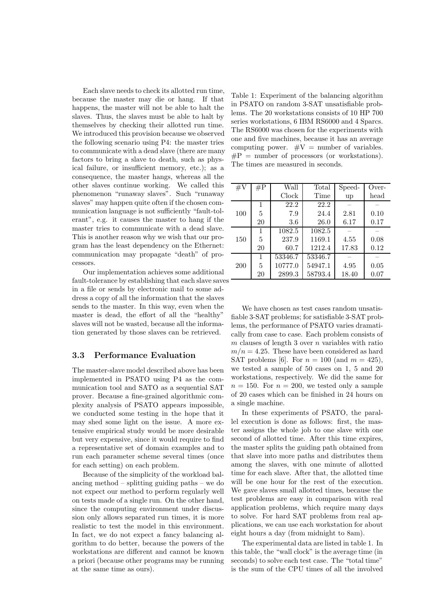Each slave needs to check its allotted run time, because the master may die or hang. If that happens, the master will not be able to halt the slaves. Thus, the slaves must be able to halt by themselves by checking their allotted run time. We introduced this provision because we observed the following scenario using P4: the master tries to communicate with a dead slave (there are many factors to bring a slave to death, such as physical failure, or insufficient memory, etc.); as a consequence, the master hangs, whereas all the other slaves continue working. We called this phenomenon "runaway slaves". Such "runaway slaves" may happen quite often if the chosen communication language is not sufficiently "fault-tolerant", e.g. it causes the master to hang if the master tries to communicate with a dead slave. This is another reason why we wish that our program has the least dependency on the Ethernet: communication may propagate "death" of processors.

Our implementation achieves some additional fault-tolerance by establishing that each slave saves in a file or sends by electronic mail to some address a copy of all the information that the slaves sends to the master. In this way, even when the master is dead, the effort of all the "healthy" slaves will not be wasted, because all the information generated by those slaves can be retrieved.

### 3.3 Performance Evaluation

The master-slave model described above has been implemented in PSATO using P4 as the communication tool and SATO as a sequential SAT prover. Because a fine-grained algorithmic complexity analysis of PSATO appears impossible, we conducted some testing in the hope that it may shed some light on the issue. A more extensive empirical study would be more desirable but very expensive, since it would require to find a representative set of domain examples and to run each parameter scheme several times (once for each setting) on each problem.

Because of the simplicity of the workload balancing method – splitting guiding paths – we do not expect our method to perform regularly well on tests made of a single run. On the other hand, since the computing environment under discussion only allows separated run times, it is more realistic to test the model in this environment. In fact, we do not expect a fancy balancing algorithm to do better, because the powers of the workstations are different and cannot be known a priori (because other programs may be running at the same time as ours).

Table 1: Experiment of the balancing algorithm in PSATO on random 3-SAT unsatisfiable problems. The 20 workstations consists of 10 HP 700 series workstations, 6 IBM RS6000 and 4 Sparcs. The RS6000 was chosen for the experiments with one and five machines, because it has an average computing power.  $\#V =$  number of variables.  $\#P =$  number of processors (or workstations). The times are measured in seconds.

| $\#\mathrm{V}$ | $\#P$        | Wall    | Total   | Speed- | Over- |
|----------------|--------------|---------|---------|--------|-------|
|                |              | Clock   | Time    | up     | head  |
|                | 1            | 22.2    | 22.2    |        |       |
| 100            | 5            | 7.9     | 24.4    | 2.81   | 0.10  |
|                | 20           | 3.6     | 26.0    | 6.17   | 0.17  |
|                | 1            | 1082.5  | 1082.5  |        |       |
| 150            | 5            | 237.9   | 1169.1  | 4.55   | 0.08  |
|                | 20           | 60.7    | 1212.4  | 17.83  | 0.12  |
|                | $\mathbf{1}$ | 53346.7 | 53346.7 |        |       |
| 200            | 5            | 10777.0 | 54947.1 | 4.95   | 0.05  |
|                | 20           | 2899.3  | 58793.4 | 18.40  | 0.07  |

We have chosen as test cases random unsatisfiable 3-SAT problems; for satisfiable 3-SAT problems, the performance of PSATO varies dramatically from case to case. Each problem consists of  $m$  clauses of length 3 over  $n$  variables with ratio  $m/n = 4.25$ . These have been considered as hard SAT problems [6]. For  $n = 100$  (and  $m = 425$ ), we tested a sample of 50 cases on 1, 5 and 20 workstations, respectively. We did the same for  $n = 150$ . For  $n = 200$ , we tested only a sample of 20 cases which can be finished in 24 hours on a single machine.

In these experiments of PSATO, the parallel execution is done as follows: first, the master assigns the whole job to one slave with one second of allotted time. After this time expires, the master splits the guiding path obtained from that slave into more paths and distributes them among the slaves, with one minute of allotted time for each slave. After that, the allotted time will be one hour for the rest of the execution. We gave slaves small allotted times, because the test problems are easy in comparison with real application problems, which require many days to solve. For hard SAT problems from real applications, we can use each workstation for about eight hours a day (from midnight to 8am).

The experimental data are listed in table 1. In this table, the "wall clock" is the average time (in seconds) to solve each test case. The "total time" is the sum of the CPU times of all the involved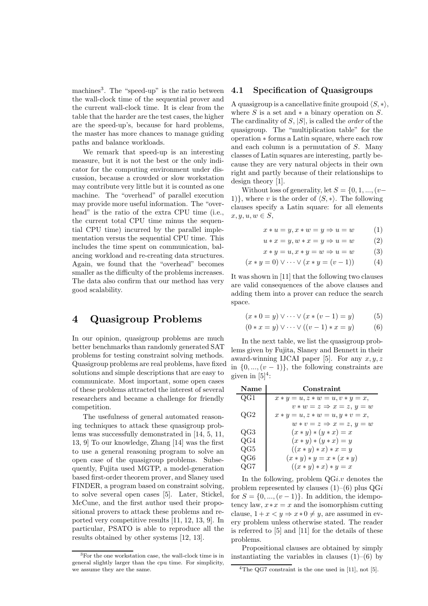machines<sup>3</sup>. The "speed-up" is the ratio between the wall-clock time of the sequential prover and the current wall-clock time. It is clear from the table that the harder are the test cases, the higher are the speed-up's, because for hard problems, the master has more chances to manage guiding paths and balance workloads.

We remark that speed-up is an interesting measure, but it is not the best or the only indicator for the computing environment under discussion, because a crowded or slow workstation may contribute very little but it is counted as one machine. The "overhead" of parallel execution may provide more useful information. The "overhead" is the ratio of the extra CPU time (i.e., the current total CPU time minus the sequential CPU time) incurred by the parallel implementation versus the sequential CPU time. This includes the time spent on communication, balancing workload and re-creating data structures. Again, we found that the "overhead" becomes smaller as the difficulty of the problems increases. The data also confirm that our method has very good scalability.

# 4 Quasigroup Problems

In our opinion, quasigroup problems are much better benchmarks than randomly generated SAT problems for testing constraint solving methods. Quasigroup problems are real problems, have fixed solutions and simple descriptions that are easy to communicate. Most important, some open cases of these problems attracted the interest of several researchers and became a challenge for friendly competition.

The usefulness of general automated reasoning techniques to attack these quasigroup problems was successfully demonstrated in [14, 5, 11, 13, 9] To our knowledge, Zhang [14] was the first to use a general reasoning program to solve an open case of the quasigroup problems. Subsequently, Fujita used MGTP, a model-generation based first-order theorem prover, and Slaney used FINDER, a program based on constraint solving, to solve several open cases [5]. Later, Stickel, McCune, and the first author used their propositional provers to attack these problems and reported very competitive results [11, 12, 13, 9]. In particular, PSATO is able to reproduce all the results obtained by other systems [12, 13].

## 4.1 Specification of Quasigroups

A quasigroup is a cancellative finite groupoid  $\langle S, * \rangle$ , where S is a set and  $*$  a binary operation on S. The cardinality of S, |S|, is called the *order* of the quasigroup. The "multiplication table" for the operation ∗ forms a Latin square, where each row and each column is a permutation of S. Many classes of Latin squares are interesting, partly because they are very natural objects in their own right and partly because of their relationships to design theory [1].

Without loss of generality, let  $S = \{0, 1, ..., (v-1)\}$ 1), where v is the order of  $\langle S, * \rangle$ . The following clauses specify a Latin square: for all elements  $x, y, u, w \in S$ 

$$
x * u = y, x * w = y \Rightarrow u = w \tag{1}
$$

 $u * x = y, w * x = y \Rightarrow u = w$  (2)

$$
x * y = u, x * y = w \Rightarrow u = w \tag{3}
$$

$$
(x * y = 0) \lor \dots \lor (x * y = (v - 1))
$$
 (4)

It was shown in [11] that the following two clauses are valid consequences of the above clauses and adding them into a prover can reduce the search space.

$$
(x * 0 = y) \lor \dots \lor (x * (v - 1) = y) \tag{5}
$$

$$
(0 * x = y) \lor \dots \lor ((v - 1) * x = y) \tag{6}
$$

In the next table, we list the quasigroup problems given by Fujita, Slaney and Bennett in their award-winning IJCAI paper [5]. For any  $x, y, z$ in  $\{0, ..., (v-1)\}\$ , the following constraints are given in  $[5]^4$ :

| Name         | Constraint                           |
|--------------|--------------------------------------|
| QG1          | $x * y = u, z * w = u, v * y = x,$   |
|              | $v * w = z \Rightarrow x = z, y = w$ |
| $_{\rm OG2}$ | $x * y = u, z * w = u, y * v = x,$   |
|              | $w * v = z \Rightarrow x = z, y = w$ |
| QG3          | $(x * y) * (y * x) = x$              |
| QG4          | $(x * y) * (y * x) = y$              |
| $\rm QG5$    | $((x * y) * x) * x = y$              |
| $\rm QG6$    | $(x * y) * y = x * (x * y)$          |
| OG7          | $((x * y) * x) * y = x$              |

In the following, problem  $QGi.v$  denotes the problem represented by clauses  $(1)$ – $(6)$  plus  $QGi$ for  $S = \{0, ..., (v-1)\}\.$  In addition, the idempotency law,  $x \cdot x = x$  and the isomorphism cutting clause,  $1 + x < y \Rightarrow x * 0 \neq y$ , are assumed in every problem unless otherwise stated. The reader is referred to [5] and [11] for the details of these problems.

Propositional clauses are obtained by simply instantiating the variables in clauses  $(1)$ – $(6)$  by

<sup>3</sup>For the one workstation case, the wall-clock time is in general slightly larger than the cpu time. For simplicity, we assume they are the same.

<sup>&</sup>lt;sup>4</sup>The QG7 constraint is the one used in [11], not [5].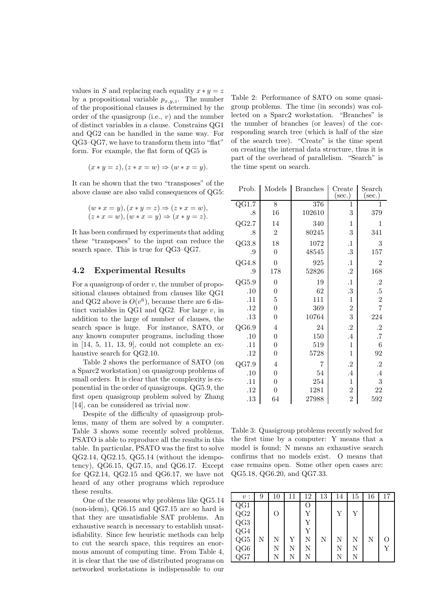values in S and replacing each equality  $x * y = z$ by a propositional variable  $p_{x,y,z}$ . The number of the propositional clauses is determined by the order of the quasigroup (i.e.,  $v$ ) and the number of distinct variables in a clause. Constrains QG1 and QG2 can be handled in the same way. For QG3–QG7, we have to transform them into "flat" form. For example, the flat form of QG5 is

$$
(x * y = z), (z * x = w) \Rightarrow (w * x = y).
$$

It can be shown that the two "transposes" of the above clause are also valid consequences of QG5:

$$
(w * x = y), (x * y = z) \Rightarrow (z * x = w),
$$
  

$$
(z * x = w), (w * x = y) \Rightarrow (x * y = z).
$$

It has been confirmed by experiments that adding these "transposes" to the input can reduce the search space. This is true for QG3–QG7.

#### 4.2 Experimental Results

For a quasigroup of order  $v$ , the number of propositional clauses obtained from clauses like QG1 and QG2 above is  $O(v^6)$ , because there are 6 distinct variables in  $QG1$  and  $QG2$ . For large  $v$ , in addition to the large of number of clauses, the search space is huge. For instance, SATO, or any known computer programs, including those in [14, 5, 11, 13, 9], could not complete an exhaustive search for QG2.10.

Table 2 shows the performance of SATO (on a Sparc2 workstation) on quasigroup problems of small orders. It is clear that the complexity is exponential in the order of quasigroups. QG5.9, the first open quasigroup problem solved by Zhang [14], can be considered as trivial now.

Despite of the difficulty of quasigroup problems, many of them are solved by a computer. Table 3 shows some recently solved problems. PSATO is able to reproduce all the results in this table. In particular, PSATO was the first to solve QG2.14, QG2.15, QG5.14 (without the idempotency), QG6.15, QG7.15, and QG6.17. Except for QG2.14, QG2.15 and QG6.17, we have not heard of any other programs which reproduce these results.

One of the reasons why problems like QG5.14 (non-idem), QG6.15 and QG7.15 are so hard is that they are unsatisfiable SAT problems. An exhaustive search is necessary to establish unsatisfiability. Since few heuristic methods can help to cut the search space, this requires an enormous amount of computing time. From Table 4, it is clear that the use of distributed programs on networked workstations is indispensable to our Table 2: Performance of SATO on some quasigroup problems. The time (in seconds) was collected on a Sparc2 workstation. "Branches" is the number of branches (or leaves) of the corresponding search tree (which is half of the size of the search tree). "Create" is the time spent on creating the internal data structure, thus it is part of the overhead of parallelism. "Search" is the time spent on search.

| Prob.              | Models           | <b>Branches</b>  | Create<br>$(\sec.)$  | Search<br>$(\sec.)$ |
|--------------------|------------------|------------------|----------------------|---------------------|
| $Q\overline{G1.7}$ | $\overline{8}$   | $\overline{376}$ | 1                    | 1                   |
| .8                 | 16               | 102610           | 3                    | 379                 |
| QG2.7              | 14               | 340              | $\mathbf{1}$         | 1                   |
| .8                 | $\overline{2}$   | 80245            | 3                    | 341                 |
| QG3.8              | 18               | 1072             | $\cdot$              | 3                   |
| .9                 | $\boldsymbol{0}$ | 48545            | .3                   | 157                 |
| QG4.8              | $\boldsymbol{0}$ | 925              | $\cdot$ 1            | $\overline{2}$      |
| .9                 | 178              | 52826            | $\cdot^2$            | 168                 |
| QG5.9              | $\boldsymbol{0}$ | 19               | $\cdot$ 1            | $\cdot$             |
| .10                | $\overline{0}$   | 62               | .3                   | $.5\,$              |
| .11                | $\bf 5$          | 111              | $\mathbf{1}$         | $\overline{2}$      |
| .12                | $\boldsymbol{0}$ | 369              | $\sqrt{2}$           | $\overline{7}$      |
| .13                | $\boldsymbol{0}$ | 10764            | 3                    | 224                 |
| QG6.9              | $\overline{4}$   | 24               | $\cdot$ <sup>2</sup> | $\cdot^2$           |
| .10                | $\boldsymbol{0}$ | 150              | $\cdot$ 4            | $\cdot 7$           |
| .11                | 0                | 519              | $\mathbf{1}$         | 6                   |
| .12                | $\boldsymbol{0}$ | 5728             | $\mathbf{1}$         | 92                  |
| QG7.9              | $\overline{4}$   | 7                | $\cdot$              | $\cdot^2$           |
| .10                | $\boldsymbol{0}$ | 54               | .4                   | $\cdot$ 4           |
| .11                | $\boldsymbol{0}$ | 254              | $\mathbf{1}$         | 3                   |
| .12                | $\boldsymbol{0}$ | 1281             | $\overline{2}$       | 22                  |
| .13                | 64               | 27988            | $\overline{2}$       | 592                 |

Table 3: Quasigroup problems recently solved for the first time by a computer: Y means that a model is found; N means an exhaustive search confirms that no models exist. O means that case remains open. Some other open cases are: QG5.18, QG6.20, and QG7.33.

| v:                                          | 9 | 10 | 11 | 12 | 13 | 14 | 15 | 16 | 17 |
|---------------------------------------------|---|----|----|----|----|----|----|----|----|
| QG1                                         |   |    |    | O  |    |    |    |    |    |
|                                             |   | O  |    | Y  |    | Y  | Y  |    |    |
| $QG2$<br>$QG3$                              |   |    |    | Υ  |    |    |    |    |    |
|                                             |   |    |    | Y  |    |    |    |    |    |
|                                             | N | Ν  | Υ  | N  | N  | N  | N  | N  | Ω  |
|                                             |   | Ν  | N  | N  |    | N  | N  |    | Y  |
| $\rm \frac{QG4}{QG5} \ \rm \frac{QG6}{QG7}$ |   | N  | N  | Ν  |    | N  | N  |    |    |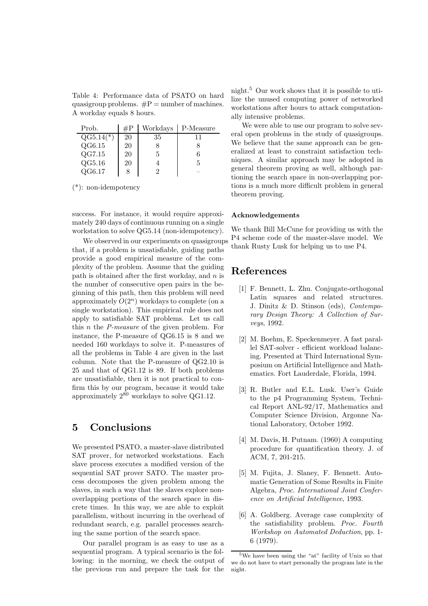Table 4: Performance data of PSATO on hard quasigroup problems.  $\#P =$  number of machines. A workday equals 8 hours.

| Prob.       | $\rm \#P$ | Workdays | P-Measure |
|-------------|-----------|----------|-----------|
| $QG5.14(*)$ | 20        | 35       | 11        |
| QG6.15      | 20        |          |           |
| QG7.15      | 20        | 5        |           |
| QG5.16      | 20        |          | 5         |
| QG6.17      |           |          |           |

(\*): non-idempotency

success. For instance, it would require approximately 240 days of continuous running on a single workstation to solve QG5.14 (non-idempotency).

We observed in our experiments on quasigroups that, if a problem is unsatisfiable, guiding paths provide a good empirical measure of the complexity of the problem. Assume that the guiding path is obtained after the first workday, and  $n$  is the number of consecutive open pairs in the beginning of this path, then this problem will need approximately  $O(2^n)$  workdays to complete (on a single workstation). This empirical rule does not apply to satisfiable SAT problems. Let us call this n the *P-measure* of the given problem. For instance, the P-measure of QG6.15 is 8 and we needed 160 workdays to solve it. P-measures of all the problems in Table 4 are given in the last column. Note that the P-measure of QG2.10 is 25 and that of QG1.12 is 89. If both problems are unsatisfiable, then it is not practical to confirm this by our program, because it would take approximately  $2^{80}$  workdays to solve QG1.12.

# 5 Conclusions

We presented PSATO, a master-slave distributed SAT prover, for networked workstations. Each slave process executes a modified version of the sequential SAT prover SATO. The master process decomposes the given problem among the slaves, in such a way that the slaves explore nonoverlapping portions of the search space in discrete times. In this way, we are able to exploit parallelism, without incurring in the overhead of redundant search, e.g. parallel processes searching the same portion of the search space.

Our parallel program is as easy to use as a sequential program. A typical scenario is the following: in the morning, we check the output of the previous run and prepare the task for the

night.<sup>5</sup> Our work shows that it is possible to utilize the unused computing power of networked workstations after hours to attack computationally intensive problems.

We were able to use our program to solve several open problems in the study of quasigroups. We believe that the same approach can be generalized at least to constraint satisfaction techniques. A similar approach may be adopted in general theorem proving as well, although partioning the search space in non-overlapping portions is a much more difficult problem in general theorem proving.

#### Acknowledgements

We thank Bill McCune for providing us with the P4 scheme code of the master-slave model. We thank Rusty Lusk for helping us to use P4.

# References

- [1] F. Bennett, L. Zhu. Conjugate-orthogonal Latin squares and related structures. J. Dinitz & D. Stinson (eds), *Contemporary Design Theory: A Collection of Surveys*, 1992.
- [2] M. Boehm, E. Speckenmeyer. A fast parallel SAT-solver - efficient workload balancing. Presented at Third International Symposium on Artificial Intelligence and Mathematics. Fort Lauderdale, Florida, 1994.
- [3] R. Butler and E.L. Lusk. User's Guide to the p4 Programming System, Technical Report ANL-92/17, Mathematics and Computer Science Division, Argonne National Laboratory, October 1992.
- [4] M. Davis, H. Putnam. (1960) A computing procedure for quantification theory. J. of ACM, 7, 201-215.
- [5] M. Fujita, J. Slaney, F. Bennett. Automatic Generation of Some Results in Finite Algebra, *Proc. International Joint Conference on Artificial Intelligence*, 1993.
- [6] A. Goldberg. Average case complexity of the satisfiability problem. *Proc. Fourth Workshop on Automated Deduction*, pp. 1- 6 (1979).

<sup>5</sup>We have been using the "at" facility of Unix so that we do not have to start personally the program late in the night.